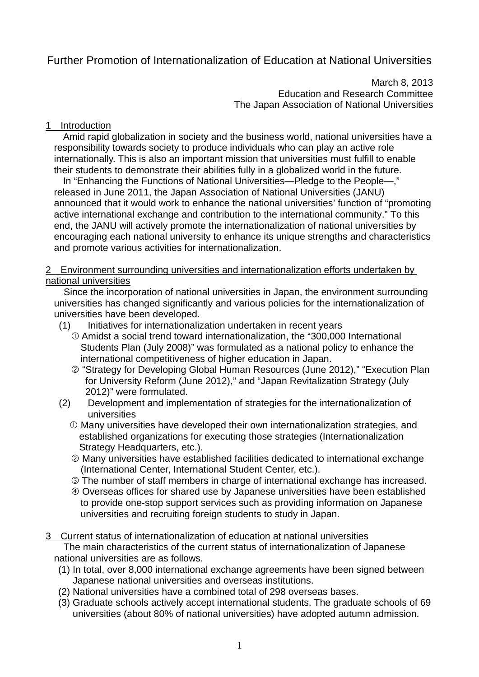# Further Promotion of Internationalization of Education at National Universities

March 8, 2013 Education and Research Committee The Japan Association of National Universities

## 1 Introduction

Amid rapid globalization in society and the business world, national universities have a responsibility towards society to produce individuals who can play an active role internationally. This is also an important mission that universities must fulfill to enable their students to demonstrate their abilities fully in a globalized world in the future.

In "Enhancing the Functions of National Universities—Pledge to the People—," released in June 2011, the Japan Association of National Universities (JANU) announced that it would work to enhance the national universities' function of "promoting active international exchange and contribution to the international community." To this end, the JANU will actively promote the internationalization of national universities by encouraging each national university to enhance its unique strengths and characteristics and promote various activities for internationalization.

# 2 Environment surrounding universities and internationalization efforts undertaken by national universities

Since the incorporation of national universities in Japan, the environment surrounding universities has changed significantly and various policies for the internationalization of universities have been developed.

## (1) Initiatives for internationalization undertaken in recent years

- Amidst a social trend toward internationalization, the "300,000 International Students Plan (July 2008)" was formulated as a national policy to enhance the international competitiveness of higher education in Japan.
- "Strategy for Developing Global Human Resources (June 2012)," "Execution Plan for University Reform (June 2012)," and "Japan Revitalization Strategy (July 2012)" were formulated.
- (2) Development and implementation of strategies for the internationalization of universities
	- Many universities have developed their own internationalization strategies, and established organizations for executing those strategies (Internationalization Strategy Headquarters, etc.).
	- Many universities have established facilities dedicated to international exchange (International Center, International Student Center, etc.).
	- The number of staff members in charge of international exchange has increased.
	- Overseas offices for shared use by Japanese universities have been established to provide one-stop support services such as providing information on Japanese universities and recruiting foreign students to study in Japan.
- 3 Current status of internationalization of education at national universities The main characteristics of the current status of internationalization of Japanese national universities are as follows.
	- (1) In total, over 8,000 international exchange agreements have been signed between Japanese national universities and overseas institutions.
	- (2) National universities have a combined total of 298 overseas bases.
	- (3) Graduate schools actively accept international students. The graduate schools of 69 universities (about 80% of national universities) have adopted autumn admission.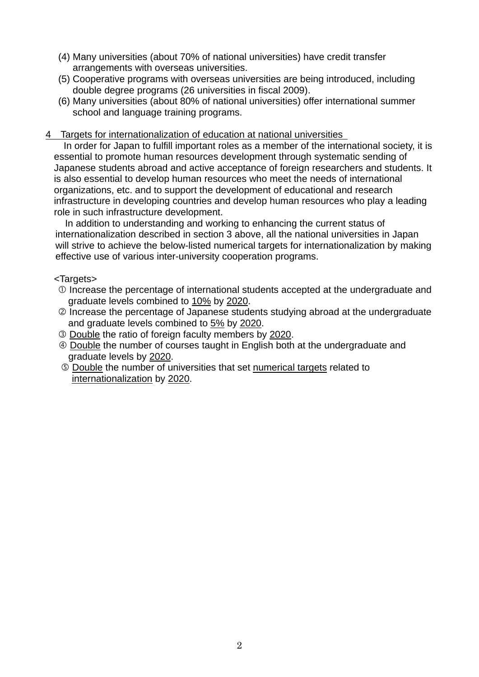- (4) Many universities (about 70% of national universities) have credit transfer arrangements with overseas universities.
- (5) Cooperative programs with overseas universities are being introduced, including double degree programs (26 universities in fiscal 2009).
- (6) Many universities (about 80% of national universities) offer international summer school and language training programs.

#### 4 Targets for internationalization of education at national universities

In order for Japan to fulfill important roles as a member of the international society, it is essential to promote human resources development through systematic sending of Japanese students abroad and active acceptance of foreign researchers and students. It is also essential to develop human resources who meet the needs of international organizations, etc. and to support the development of educational and research infrastructure in developing countries and develop human resources who play a leading role in such infrastructure development.

In addition to understanding and working to enhancing the current status of internationalization described in section 3 above, all the national universities in Japan will strive to achieve the below-listed numerical targets for internationalization by making effective use of various inter-university cooperation programs.

#### <Targets>

- Increase the percentage of international students accepted at the undergraduate and graduate levels combined to 10% by 2020.
- Increase the percentage of Japanese students studying abroad at the undergraduate and graduate levels combined to 5% by 2020.
- Double the ratio of foreign faculty members by 2020.
- Double the number of courses taught in English both at the undergraduate and graduate levels by 2020.
- Double the number of universities that set numerical targets related to internationalization by 2020.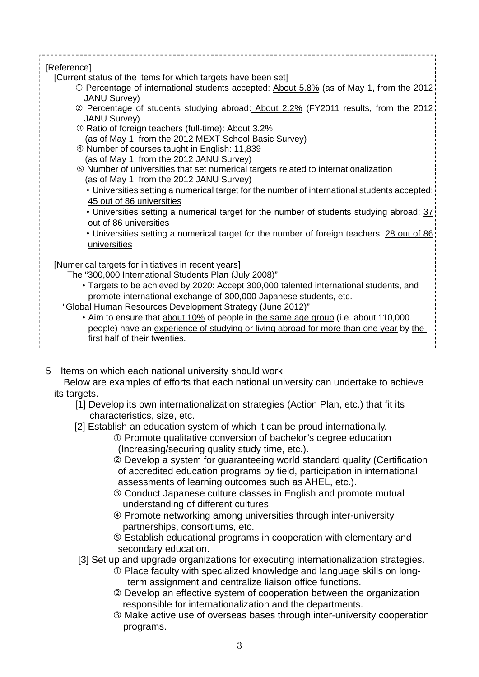| [Reference]<br>[Current status of the items for which targets have been set]<br>1.0 Percentage of international students accepted: About 5.8% (as of May 1, from the 2012)<br><b>JANU Survey)</b><br>2 Percentage of students studying abroad: About 2.2% (FY2011 results, from the 2012)<br><b>JANU Survey)</b><br><sup>3</sup> Ratio of foreign teachers (full-time): About 3.2%<br>(as of May 1, from the 2012 MEXT School Basic Survey)<br>4 Number of courses taught in English: 11,839<br>(as of May 1, from the 2012 JANU Survey)<br>5 Number of universities that set numerical targets related to internationalization<br>(as of May 1, from the 2012 JANU Survey)<br>. Universities setting a numerical target for the number of international students accepted:<br>45 out of 86 universities<br>• Universities setting a numerical target for the number of students studying abroad: 37 |
|------------------------------------------------------------------------------------------------------------------------------------------------------------------------------------------------------------------------------------------------------------------------------------------------------------------------------------------------------------------------------------------------------------------------------------------------------------------------------------------------------------------------------------------------------------------------------------------------------------------------------------------------------------------------------------------------------------------------------------------------------------------------------------------------------------------------------------------------------------------------------------------------------|
| out of 86 universities<br>• Universities setting a numerical target for the number of foreign teachers: 28 out of 86                                                                                                                                                                                                                                                                                                                                                                                                                                                                                                                                                                                                                                                                                                                                                                                 |
| universities                                                                                                                                                                                                                                                                                                                                                                                                                                                                                                                                                                                                                                                                                                                                                                                                                                                                                         |
| [Numerical targets for initiatives in recent years]<br>The "300,000 International Students Plan (July 2008)"                                                                                                                                                                                                                                                                                                                                                                                                                                                                                                                                                                                                                                                                                                                                                                                         |
| • Targets to be achieved by 2020: Accept 300,000 talented international students, and                                                                                                                                                                                                                                                                                                                                                                                                                                                                                                                                                                                                                                                                                                                                                                                                                |
| promote international exchange of 300,000 Japanese students, etc.                                                                                                                                                                                                                                                                                                                                                                                                                                                                                                                                                                                                                                                                                                                                                                                                                                    |
| "Global Human Resources Development Strategy (June 2012)"                                                                                                                                                                                                                                                                                                                                                                                                                                                                                                                                                                                                                                                                                                                                                                                                                                            |
| . Aim to ensure that about 10% of people in the same age group (i.e. about 110,000                                                                                                                                                                                                                                                                                                                                                                                                                                                                                                                                                                                                                                                                                                                                                                                                                   |
| people) have an experience of studying or living abroad for more than one year by the                                                                                                                                                                                                                                                                                                                                                                                                                                                                                                                                                                                                                                                                                                                                                                                                                |
| first half of their twenties.                                                                                                                                                                                                                                                                                                                                                                                                                                                                                                                                                                                                                                                                                                                                                                                                                                                                        |
|                                                                                                                                                                                                                                                                                                                                                                                                                                                                                                                                                                                                                                                                                                                                                                                                                                                                                                      |

# 5 Items on which each national university should work

Below are examples of efforts that each national university can undertake to achieve its targets.

- [1] Develop its own internationalization strategies (Action Plan, etc.) that fit its characteristics, size, etc.
- [2] Establish an education system of which it can be proud internationally.
	- Promote qualitative conversion of bachelor's degree education (Increasing/securing quality study time, etc.).
	- Develop a system for guaranteeing world standard quality (Certification of accredited education programs by field, participation in international assessments of learning outcomes such as AHEL, etc.).
	- Conduct Japanese culture classes in English and promote mutual understanding of different cultures.
	- Promote networking among universities through inter-university partnerships, consortiums, etc.
	- Establish educational programs in cooperation with elementary and secondary education.
- [3] Set up and upgrade organizations for executing internationalization strategies.
	- Place faculty with specialized knowledge and language skills on longterm assignment and centralize liaison office functions.
	- Develop an effective system of cooperation between the organization responsible for internationalization and the departments.
	- Make active use of overseas bases through inter-university cooperation programs.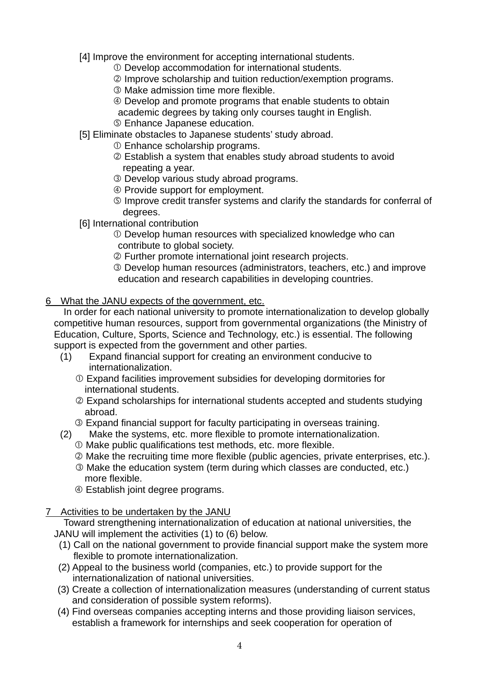[4] Improve the environment for accepting international students.

- Develop accommodation for international students.
- Improve scholarship and tuition reduction/exemption programs.
- Make admission time more flexible.
- Develop and promote programs that enable students to obtain
- academic degrees by taking only courses taught in English.
- Enhance Japanese education.
- [5] Eliminate obstacles to Japanese students' study abroad.
	- Enhance scholarship programs.
	- Establish a system that enables study abroad students to avoid repeating a year.
	- Develop various study abroad programs.
	- Provide support for employment.
	- Improve credit transfer systems and clarify the standards for conferral of degrees.
- [6] International contribution
	- Develop human resources with specialized knowledge who can contribute to global society.
	- Further promote international joint research projects.
	- Develop human resources (administrators, teachers, etc.) and improve education and research capabilities in developing countries.

## 6 What the JANU expects of the government, etc.

In order for each national university to promote internationalization to develop globally competitive human resources, support from governmental organizations (the Ministry of Education, Culture, Sports, Science and Technology, etc.) is essential. The following support is expected from the government and other parties.

- (1) Expand financial support for creating an environment conducive to internationalization.
	- Expand facilities improvement subsidies for developing dormitories for international students.
	- Expand scholarships for international students accepted and students studying abroad.
	- Expand financial support for faculty participating in overseas training.
- (2) Make the systems, etc. more flexible to promote internationalization.
	- Make public qualifications test methods, etc. more flexible.
	- Make the recruiting time more flexible (public agencies, private enterprises, etc.).
	- Make the education system (term during which classes are conducted, etc.) more flexible.
	- Establish joint degree programs.
- 7 Activities to be undertaken by the JANU

Toward strengthening internationalization of education at national universities, the JANU will implement the activities (1) to (6) below.

- (1) Call on the national government to provide financial support make the system more flexible to promote internationalization.
- (2) Appeal to the business world (companies, etc.) to provide support for the internationalization of national universities.
- (3) Create a collection of internationalization measures (understanding of current status and consideration of possible system reforms).
- (4) Find overseas companies accepting interns and those providing liaison services, establish a framework for internships and seek cooperation for operation of